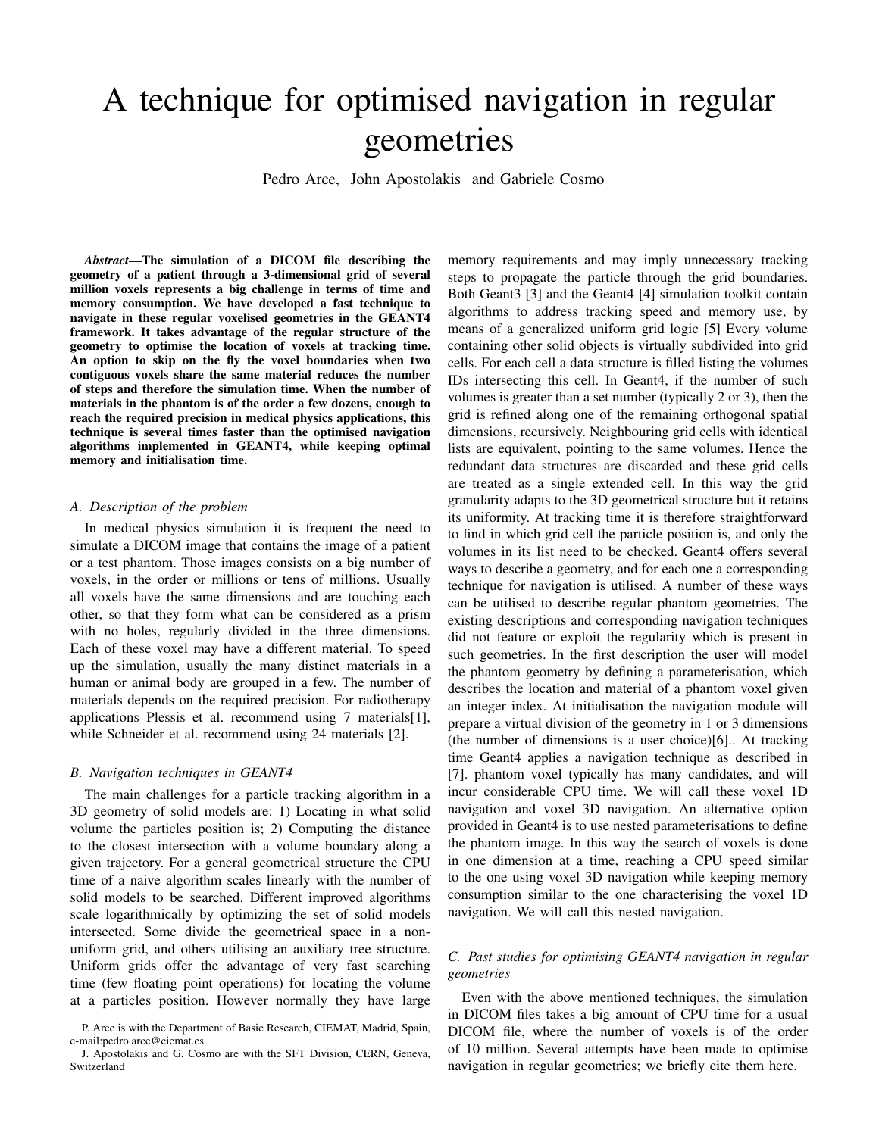# A technique for optimised navigation in regular geometries

Pedro Arce, John Apostolakis and Gabriele Cosmo

*Abstract*—The simulation of a DICOM file describing the geometry of a patient through a 3-dimensional grid of several million voxels represents a big challenge in terms of time and memory consumption. We have developed a fast technique to navigate in these regular voxelised geometries in the GEANT4 framework. It takes advantage of the regular structure of the geometry to optimise the location of voxels at tracking time. An option to skip on the fly the voxel boundaries when two contiguous voxels share the same material reduces the number of steps and therefore the simulation time. When the number of materials in the phantom is of the order a few dozens, enough to reach the required precision in medical physics applications, this technique is several times faster than the optimised navigation algorithms implemented in GEANT4, while keeping optimal memory and initialisation time.

#### *A. Description of the problem*

In medical physics simulation it is frequent the need to simulate a DICOM image that contains the image of a patient or a test phantom. Those images consists on a big number of voxels, in the order or millions or tens of millions. Usually all voxels have the same dimensions and are touching each other, so that they form what can be considered as a prism with no holes, regularly divided in the three dimensions. Each of these voxel may have a different material. To speed up the simulation, usually the many distinct materials in a human or animal body are grouped in a few. The number of materials depends on the required precision. For radiotherapy applications Plessis et al. recommend using 7 materials[1], while Schneider et al. recommend using 24 materials [2].

#### *B. Navigation techniques in GEANT4*

The main challenges for a particle tracking algorithm in a 3D geometry of solid models are: 1) Locating in what solid volume the particles position is; 2) Computing the distance to the closest intersection with a volume boundary along a given trajectory. For a general geometrical structure the CPU time of a naive algorithm scales linearly with the number of solid models to be searched. Different improved algorithms scale logarithmically by optimizing the set of solid models intersected. Some divide the geometrical space in a nonuniform grid, and others utilising an auxiliary tree structure. Uniform grids offer the advantage of very fast searching time (few floating point operations) for locating the volume at a particles position. However normally they have large memory requirements and may imply unnecessary tracking steps to propagate the particle through the grid boundaries. Both Geant3 [3] and the Geant4 [4] simulation toolkit contain algorithms to address tracking speed and memory use, by means of a generalized uniform grid logic [5] Every volume containing other solid objects is virtually subdivided into grid cells. For each cell a data structure is filled listing the volumes IDs intersecting this cell. In Geant4, if the number of such volumes is greater than a set number (typically 2 or 3), then the grid is refined along one of the remaining orthogonal spatial dimensions, recursively. Neighbouring grid cells with identical lists are equivalent, pointing to the same volumes. Hence the redundant data structures are discarded and these grid cells are treated as a single extended cell. In this way the grid granularity adapts to the 3D geometrical structure but it retains its uniformity. At tracking time it is therefore straightforward to find in which grid cell the particle position is, and only the volumes in its list need to be checked. Geant4 offers several ways to describe a geometry, and for each one a corresponding technique for navigation is utilised. A number of these ways can be utilised to describe regular phantom geometries. The existing descriptions and corresponding navigation techniques did not feature or exploit the regularity which is present in such geometries. In the first description the user will model the phantom geometry by defining a parameterisation, which describes the location and material of a phantom voxel given an integer index. At initialisation the navigation module will prepare a virtual division of the geometry in 1 or 3 dimensions (the number of dimensions is a user choice)[6].. At tracking time Geant4 applies a navigation technique as described in [7]. phantom voxel typically has many candidates, and will incur considerable CPU time. We will call these voxel 1D navigation and voxel 3D navigation. An alternative option provided in Geant4 is to use nested parameterisations to define the phantom image. In this way the search of voxels is done in one dimension at a time, reaching a CPU speed similar to the one using voxel 3D navigation while keeping memory consumption similar to the one characterising the voxel 1D navigation. We will call this nested navigation.

## *C. Past studies for optimising GEANT4 navigation in regular geometries*

Even with the above mentioned techniques, the simulation in DICOM files takes a big amount of CPU time for a usual DICOM file, where the number of voxels is of the order of 10 million. Several attempts have been made to optimise navigation in regular geometries; we briefly cite them here.

P. Arce is with the Department of Basic Research, CIEMAT, Madrid, Spain, e-mail:pedro.arce@ciemat.es

J. Apostolakis and G. Cosmo are with the SFT Division, CERN, Geneva, Switzerland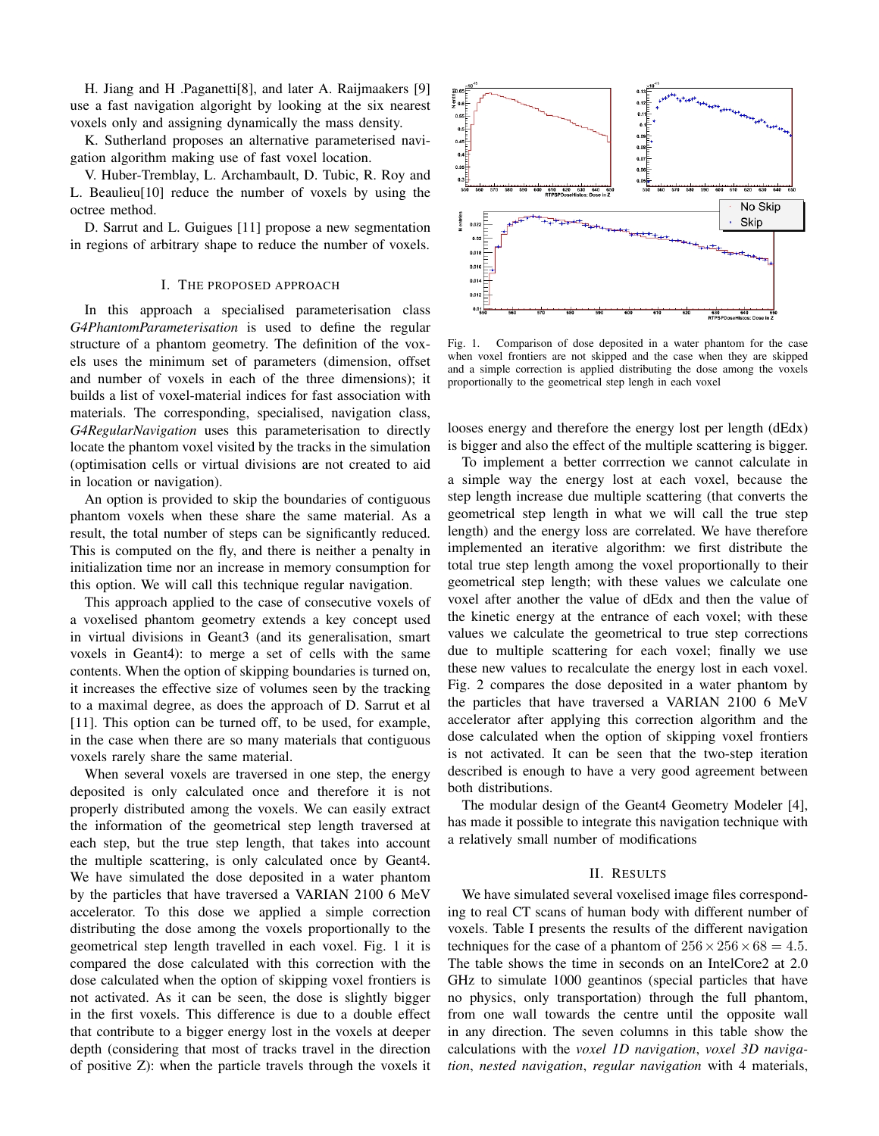H. Jiang and H .Paganetti[8], and later A. Raijmaakers [9] use a fast navigation algoright by looking at the six nearest voxels only and assigning dynamically the mass density.

K. Sutherland proposes an alternative parameterised navigation algorithm making use of fast voxel location.

V. Huber-Tremblay, L. Archambault, D. Tubic, R. Roy and L. Beaulieu[10] reduce the number of voxels by using the octree method.

D. Sarrut and L. Guigues [11] propose a new segmentation in regions of arbitrary shape to reduce the number of voxels.

#### I. THE PROPOSED APPROACH

In this approach a specialised parameterisation class *G4PhantomParameterisation* is used to define the regular structure of a phantom geometry. The definition of the voxels uses the minimum set of parameters (dimension, offset and number of voxels in each of the three dimensions); it builds a list of voxel-material indices for fast association with materials. The corresponding, specialised, navigation class, *G4RegularNavigation* uses this parameterisation to directly locate the phantom voxel visited by the tracks in the simulation (optimisation cells or virtual divisions are not created to aid in location or navigation).

An option is provided to skip the boundaries of contiguous phantom voxels when these share the same material. As a result, the total number of steps can be significantly reduced. This is computed on the fly, and there is neither a penalty in initialization time nor an increase in memory consumption for this option. We will call this technique regular navigation.

This approach applied to the case of consecutive voxels of a voxelised phantom geometry extends a key concept used in virtual divisions in Geant3 (and its generalisation, smart voxels in Geant4): to merge a set of cells with the same contents. When the option of skipping boundaries is turned on, it increases the effective size of volumes seen by the tracking to a maximal degree, as does the approach of D. Sarrut et al [11]. This option can be turned off, to be used, for example, in the case when there are so many materials that contiguous voxels rarely share the same material.

When several voxels are traversed in one step, the energy deposited is only calculated once and therefore it is not properly distributed among the voxels. We can easily extract the information of the geometrical step length traversed at each step, but the true step length, that takes into account the multiple scattering, is only calculated once by Geant4. We have simulated the dose deposited in a water phantom by the particles that have traversed a VARIAN 2100 6 MeV accelerator. To this dose we applied a simple correction distributing the dose among the voxels proportionally to the geometrical step length travelled in each voxel. Fig. 1 it is compared the dose calculated with this correction with the dose calculated when the option of skipping voxel frontiers is not activated. As it can be seen, the dose is slightly bigger in the first voxels. This difference is due to a double effect that contribute to a bigger energy lost in the voxels at deeper depth (considering that most of tracks travel in the direction of positive Z): when the particle travels through the voxels it



Fig. 1. Comparison of dose deposited in a water phantom for the case when voxel frontiers are not skipped and the case when they are skipped and a simple correction is applied distributing the dose among the voxels proportionally to the geometrical step lengh in each voxel

looses energy and therefore the energy lost per length (dEdx) is bigger and also the effect of the multiple scattering is bigger.

To implement a better corrrection we cannot calculate in a simple way the energy lost at each voxel, because the step length increase due multiple scattering (that converts the geometrical step length in what we will call the true step length) and the energy loss are correlated. We have therefore implemented an iterative algorithm: we first distribute the total true step length among the voxel proportionally to their geometrical step length; with these values we calculate one voxel after another the value of dEdx and then the value of the kinetic energy at the entrance of each voxel; with these values we calculate the geometrical to true step corrections due to multiple scattering for each voxel; finally we use these new values to recalculate the energy lost in each voxel. Fig. 2 compares the dose deposited in a water phantom by the particles that have traversed a VARIAN 2100 6 MeV accelerator after applying this correction algorithm and the dose calculated when the option of skipping voxel frontiers is not activated. It can be seen that the two-step iteration described is enough to have a very good agreement between both distributions.

The modular design of the Geant4 Geometry Modeler [4], has made it possible to integrate this navigation technique with a relatively small number of modifications

### II. RESULTS

We have simulated several voxelised image files corresponding to real CT scans of human body with different number of voxels. Table I presents the results of the different navigation techniques for the case of a phantom of  $256 \times 256 \times 68 = 4.5$ . The table shows the time in seconds on an IntelCore2 at 2.0 GHz to simulate 1000 geantinos (special particles that have no physics, only transportation) through the full phantom, from one wall towards the centre until the opposite wall in any direction. The seven columns in this table show the calculations with the *voxel 1D navigation*, *voxel 3D navigation*, *nested navigation*, *regular navigation* with 4 materials,